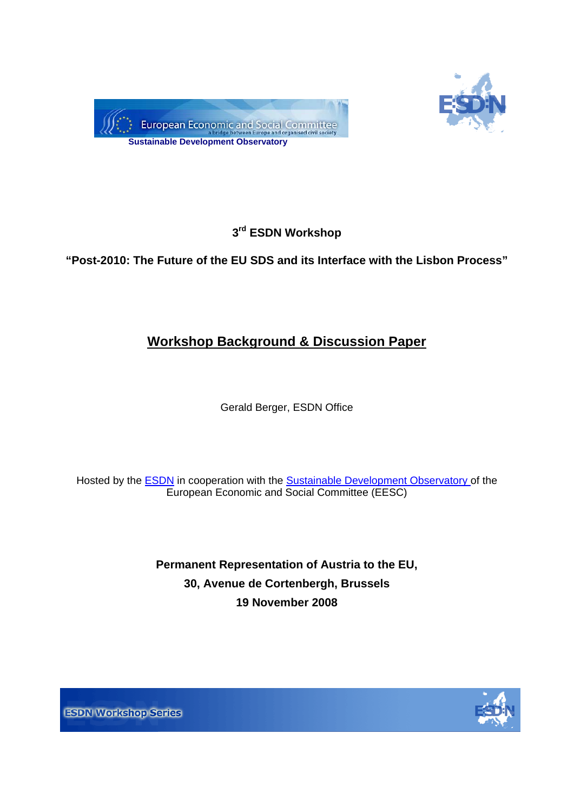



# **3rd ESDN Workshop**

# **"Post-2010: The Future of the EU SDS and its Interface with the Lisbon Process"**

# **Workshop Background & Discussion Paper**

Gerald Berger, ESDN Office

Hosted by the [ESDN](http://www.sd-network.eu/) in cooperation with the [Sustainable Development Observatory](http://eesc.europa.eu/sections/sdo/index_en.asp?id=1001sdoen) of the European Economic and Social Committee (EESC)

> **Permanent Representation of Austria to the EU, 30, Avenue de Cortenbergh, Brussels 19 November 2008**



**ESDN Workshop Series**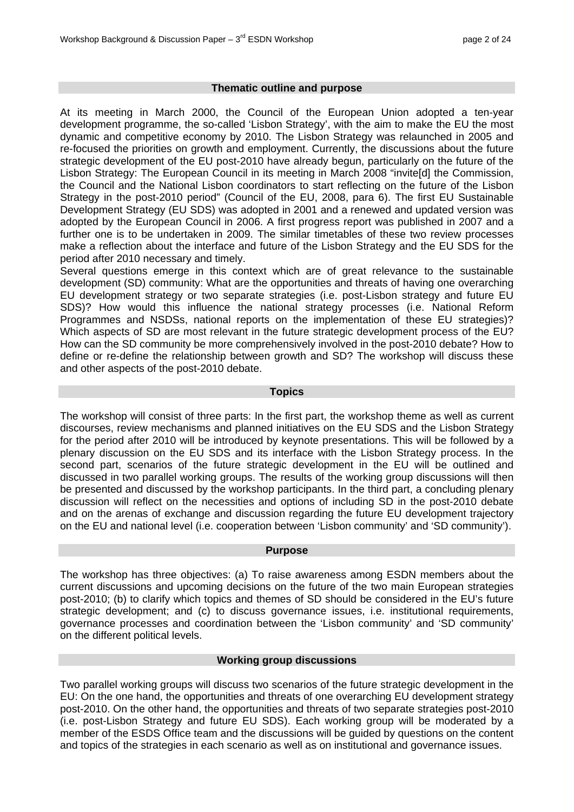#### **Thematic outline and purpose**

At its meeting in March 2000, the Council of the European Union adopted a ten-year development programme, the so-called 'Lisbon Strategy', with the aim to make the EU the most dynamic and competitive economy by 2010. The Lisbon Strategy was relaunched in 2005 and re-focused the priorities on growth and employment. Currently, the discussions about the future strategic development of the EU post-2010 have already begun, particularly on the future of the Lisbon Strategy: The European Council in its meeting in March 2008 "invite[d] the Commission, the Council and the National Lisbon coordinators to start reflecting on the future of the Lisbon Strategy in the post-2010 period" (Council of the EU, 2008, para 6). The first EU Sustainable Development Strategy (EU SDS) was adopted in 2001 and a renewed and updated version was adopted by the European Council in 2006. A first progress report was published in 2007 and a further one is to be undertaken in 2009. The similar timetables of these two review processes make a reflection about the interface and future of the Lisbon Strategy and the EU SDS for the period after 2010 necessary and timely.

Several questions emerge in this context which are of great relevance to the sustainable development (SD) community: What are the opportunities and threats of having one overarching EU development strategy or two separate strategies (i.e. post-Lisbon strategy and future EU SDS)? How would this influence the national strategy processes (i.e. National Reform Programmes and NSDSs, national reports on the implementation of these EU strategies)? Which aspects of SD are most relevant in the future strategic development process of the EU? How can the SD community be more comprehensively involved in the post-2010 debate? How to define or re-define the relationship between growth and SD? The workshop will discuss these and other aspects of the post-2010 debate.

#### **Topics**

The workshop will consist of three parts: In the first part, the workshop theme as well as current discourses, review mechanisms and planned initiatives on the EU SDS and the Lisbon Strategy for the period after 2010 will be introduced by keynote presentations. This will be followed by a plenary discussion on the EU SDS and its interface with the Lisbon Strategy process. In the second part, scenarios of the future strategic development in the EU will be outlined and discussed in two parallel working groups. The results of the working group discussions will then be presented and discussed by the workshop participants. In the third part, a concluding plenary discussion will reflect on the necessities and options of including SD in the post-2010 debate and on the arenas of exchange and discussion regarding the future EU development trajectory on the EU and national level (i.e. cooperation between 'Lisbon community' and 'SD community').

#### **Purpose**

The workshop has three objectives: (a) To raise awareness among ESDN members about the current discussions and upcoming decisions on the future of the two main European strategies post-2010; (b) to clarify which topics and themes of SD should be considered in the EU's future strategic development; and (c) to discuss governance issues, i.e. institutional requirements, governance processes and coordination between the 'Lisbon community' and 'SD community' on the different political levels.

#### **Working group discussions**

Two parallel working groups will discuss two scenarios of the future strategic development in the EU: On the one hand, the opportunities and threats of one overarching EU development strategy post-2010. On the other hand, the opportunities and threats of two separate strategies post-2010 (i.e. post-Lisbon Strategy and future EU SDS). Each working group will be moderated by a member of the ESDS Office team and the discussions will be guided by questions on the content and topics of the strategies in each scenario as well as on institutional and governance issues.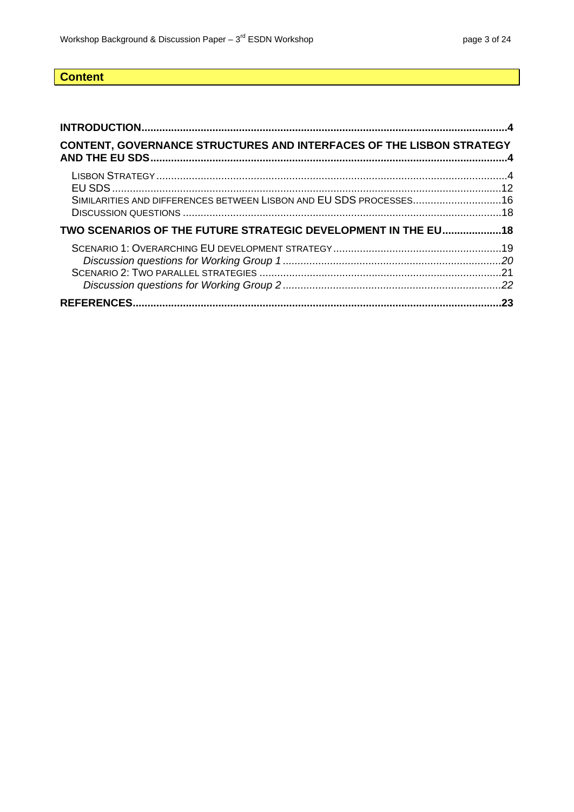# **Content**

| <b>CONTENT, GOVERNANCE STRUCTURES AND INTERFACES OF THE LISBON STRATEGY</b> |  |
|-----------------------------------------------------------------------------|--|
| SIMILARITIES AND DIFFERENCES BETWEEN LISBON AND EU SDS PROCESSES 16         |  |
| TWO SCENARIOS OF THE FUTURE STRATEGIC DEVELOPMENT IN THE EU 18              |  |
|                                                                             |  |
|                                                                             |  |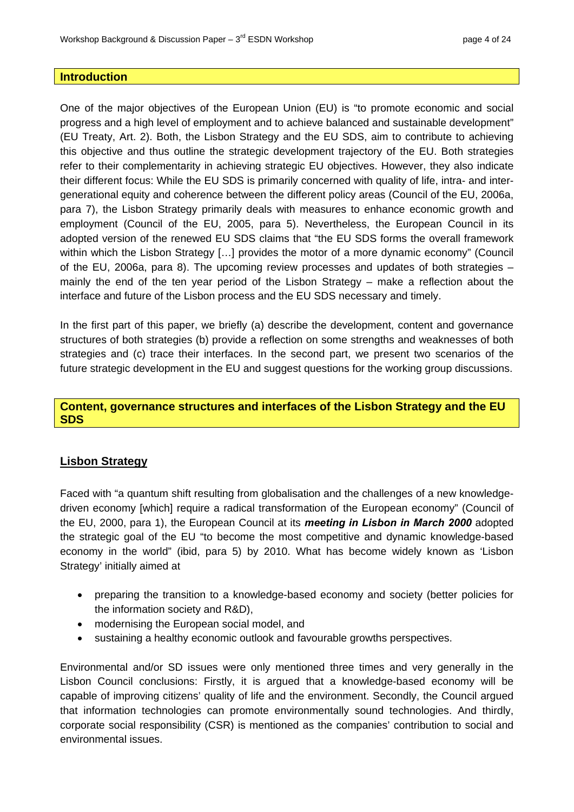#### <span id="page-3-0"></span>**Introduction**

One of the major objectives of the European Union (EU) is "to promote economic and social th [eir different focus: While the EU SDS is primarily concerned with quality of life, intra- and inter](#page-11-0)ge [nerational equity and coherence between the different policy areas \(Council of the EU, 2006a,](#page-15-0)  para 7), the Lisbon Strategy primarily deals with measures to enhance economic growth and wi [thin which the Lisbon Strategy \[…\] provides the motor of a more dynamic economy" \(Council](#page-18-0)  of  [the EU, 2006a, para 8\). The upcoming review processes and updates of both strategies –](#page-20-0)  ma [in](#page-20-0)[ly the end of the ten year period of the Lisbon Strategy – make a reflection about the](#page-21-0)  [progress and a high level of employment and to achieve balanced and sustainable development"](#page-3-0)  [\(EU Treaty, Art. 2\). Both, the Lisbon Strategy and the EU SDS, aim to contribute to achieving](#page-3-0) [this objective and thus outline the strategic development trajectory of the EU. Both strategies](#page-3-0)  [refer to their complementarity in achieving strategic EU objectives. However, they also indicate](#page-3-0)  [employment \(Council of the EU, 2005, para 5\). Nevertheless, the European Council in its](#page-17-0)  [adopted version of the renewed EU SDS claims that "the EU SDS forms the overall framework](#page-17-0)  [interface and future of the Lisbon process and the EU SDS necessary and timely.](#page-22-0) 

In the first part of this paper, we briefly (a) describe the development, content and governance structures of both strategies (b) provide a reflection on some strengths and weaknesses of both strategies and (c) trace their interfaces. In the second part, we present two scenarios of the future strategic development in the EU and suggest questions for the working group discussions.

### **Content, governance structures and interfaces of the Lisbon Strategy and the EU SDS**

### **Lisbon Strategy**

Faced with "a quantum shift resulting from globalisation and the challenges of a new knowledgedriven economy [which] require a radical transformation of the European economy" (Council of the EU, 2000, para 1), the European Council at its *meeting in Lisbon in March 2000* adopted the strategic goal of the EU "to become the most competitive and dynamic knowledge-based economy in the world" (ibid, para 5) by 2010. What has become widely known as 'Lisbon Strategy' initially aimed at

- preparing the transition to a knowledge-based economy and society (better policies for the information society and R&D),
- modernising the European social model, and
- sustaining a healthy economic outlook and favourable growths perspectives.

Environmental and/or SD issues were only mentioned three times and very generally in the Lisbon Council conclusions: Firstly, it is argued that a knowledge-based economy will be capable of improving citizens' quality of life and the environment. Secondly, the Council argued that information technologies can promote environmentally sound technologies. And thirdly, orporate social responsibility (CSR) is mentioned as the companies' contribution to social and cenvironmental issues.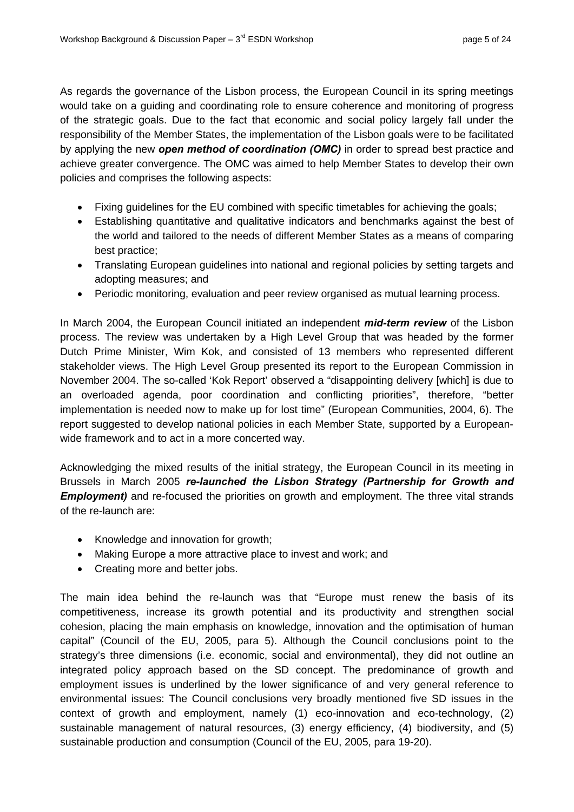As regards the governance of the Lisbon process, the European Council in its spring meetings would take on a guiding and coordinating role to ensure coherence and monitoring of progress of the strategic goals. Due to the fact that economic and social policy largely fall under the responsibility of the Member States, the implementation of the Lisbon goals were to be facilitated by applying the new *open method of coordination (OMC)* in order to spread best practice and achieve greater convergence. The OMC was aimed to help Member States to develop their own policies and comprises the following aspects:

- Fixing quidelines for the EU combined with specific timetables for achieving the goals;
- Establishing quantitative and qualitative indicators and benchmarks against the best of the world and tailored to the needs of different Member States as a means of comparing best practice;
- Translating European guidelines into national and regional policies by setting targets and adopting measures; and
- Periodic monitoring, evaluation and peer review organised as mutual learning process.

November 2004. The so-called 'Kok Report' observed a "disappointing delivery [which] is due to an overloaded agenda, poor coordination and conflicting priorities", therefore, "better report suggested to develop national policies in each Member State, supported by a Europeanwide framework and to act in a more concerted way. In March 2004, the European Council initiated an independent *mid-term review* of the Lisbon process. The review was undertaken by a High Level Group that was headed by the former Dutch Prime Minister, Wim Kok, and consisted of 13 members who represented different stakeholder views. The High Level Group presented its report to the European Commission in implementation is needed now to make up for lost time" (European Communities, 2004, 6). The

Acknowledging the mixed results of the initial strategy, the European Council in its meeting in Brussels in March 2005 re-launched the Lisbon Strategy (Partnership for Growth and *Employment)* and re-focused the priorities on growth and employment. The three vital strands of the re-launch are:

- Knowledge and innovation for growth;
- Making Europe a more attractive place to invest and work; and
- Creating more and better jobs.

The main idea behind the re-launch was that "Europe must renew the basis of its competitiveness, increase its growth potential and its productivity and strengthen social cohesion, placing the main emphasis on knowledge, innovation and the optimisation of human capital" (Council of the EU, 2005, para 5). Although the Council conclusions point to the strategy's three dimensions (i.e. economic, social and environmental), they did not outline an sustainable production and consumption (Council of the EU, 2005, para 19-20). integrated policy approach based on the SD concept. The predominance of growth and employment issues is underlined by the lower significance of and very general reference to environmental issues: The Council conclusions very broadly mentioned five SD issues in the context of growth and employment, namely (1) eco-innovation and eco-technology, (2) sustainable management of natural resources, (3) energy efficiency, (4) biodiversity, and (5)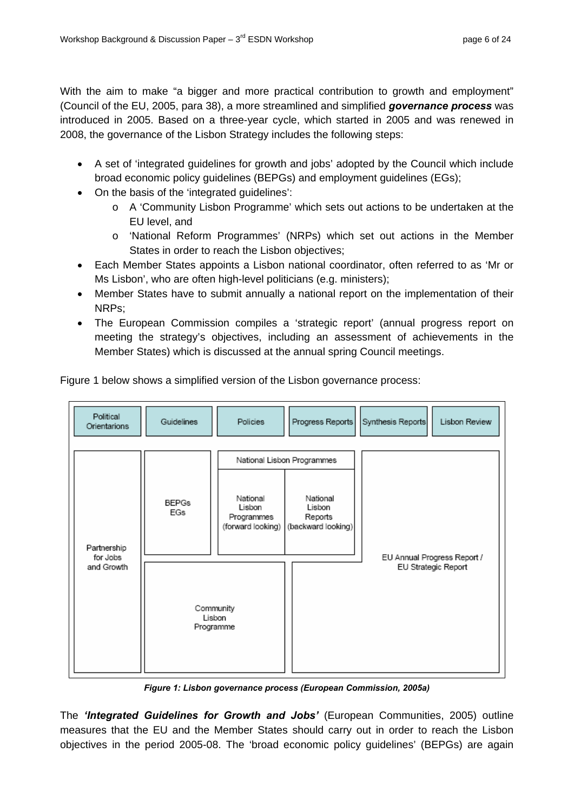With the aim to make "a bigger and more practical contribution to growth and employment" (Council of the EU, 2005, para 38), a more streamlined and simplified *governance process* was introduced in 2005. Based on a three-year cycle, which started in 2005 and was renewed in 2008, the governance of the Lisbon Strategy includes the following steps:

- A set of 'integrated guidelines for growth and jobs' adopted by the Council which include broad economic policy guidelines (BEPGs) and employment guidelines (EGs);
- On the basis of the 'integrated guidelines':
	- $\circ$  A 'Community Lisbon Programme' which sets out actions to be undertaken at the EU level, and
	- States in order to reach the Lisbon objectives; o 'National Reform Programmes' (NRPs) which set out actions in the Member
- Ms Lisbon', who are often high-level politicians (e.g. ministers); • Each Member States appoints a Lisbon national coordinator, often referred to as 'Mr or
- Member States have to submit annually a national report on the implementation of their NRPs;
- The European Commission compiles a 'strategic report' (annual progress report on meeting the strategy's objectives, including an assessment of achievements in the Member States) which is discussed at the annual spring Council meetings.



Figure 1 below shows a simplified version of the Lisbon governance process:

*Figure 1: Lisbon governance process (European Commission, 2005a)* 

The *'Integrated Guidelines for Growth and Jobs'* (European Communities, 2005) outline measures that the EU and the Member States should carry out in order to reach the Lisbon objectives in the period 2005-08. The 'broad economic policy guidelines' (BEPGs) are again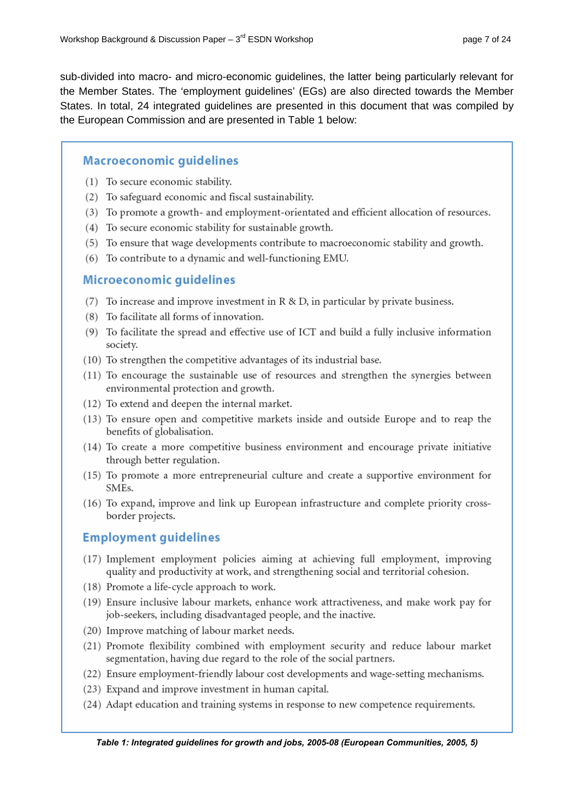sub-divided into macro- and micro-economic guidelines, the latter being particularly relevant for the Member States. The 'employment guidelines' (EGs) are also directed towards the Member States. In total, 24 integrated guidelines are presented in this document that was compiled by the European Commission and are presented in Table 1 below:

## **Macroeconomic quidelines**

- (1) To secure economic stability.
- (2) To safeguard economic and fiscal sustainability.
- (3) To promote a growth- and employment-orientated and efficient allocation of resources.
- (4) To secure economic stability for sustainable growth.
- (5) To ensure that wage developments contribute to macroeconomic stability and growth.
- (6) To contribute to a dynamic and well-functioning EMU.

### **Microeconomic quidelines**

- (7) To increase and improve investment in  $R \& D$ , in particular by private business.
- (8) To facilitate all forms of innovation.
- (9) To facilitate the spread and effective use of ICT and build a fully inclusive information society.
- (10) To strengthen the competitive advantages of its industrial base.
- (11) To encourage the sustainable use of resources and strengthen the synergies between environmental protection and growth.
- (12) To extend and deepen the internal market.
- (13) To ensure open and competitive markets inside and outside Europe and to reap the benefits of globalisation.
- (14) To create a more competitive business environment and encourage private initiative through better regulation.
- (15) To promote a more entrepreneurial culture and create a supportive environment for SME<sub>s</sub>.
- (16) To expand, improve and link up European infrastructure and complete priority crossborder projects.

## **Employment guidelines**

- (17) Implement employment policies aiming at achieving full employment, improving quality and productivity at work, and strengthening social and territorial cohesion.
- (18) Promote a life-cycle approach to work.
- (19) Ensure inclusive labour markets, enhance work attractiveness, and make work pay for job-seekers, including disadvantaged people, and the inactive.
- (20) Improve matching of labour market needs.
- (21) Promote flexibility combined with employment security and reduce labour market segmentation, having due regard to the role of the social partners.
- (22) Ensure employment-friendly labour cost developments and wage-setting mechanisms.
- (23) Expand and improve investment in human capital.
- (24) Adapt education and training systems in response to new competence requirements.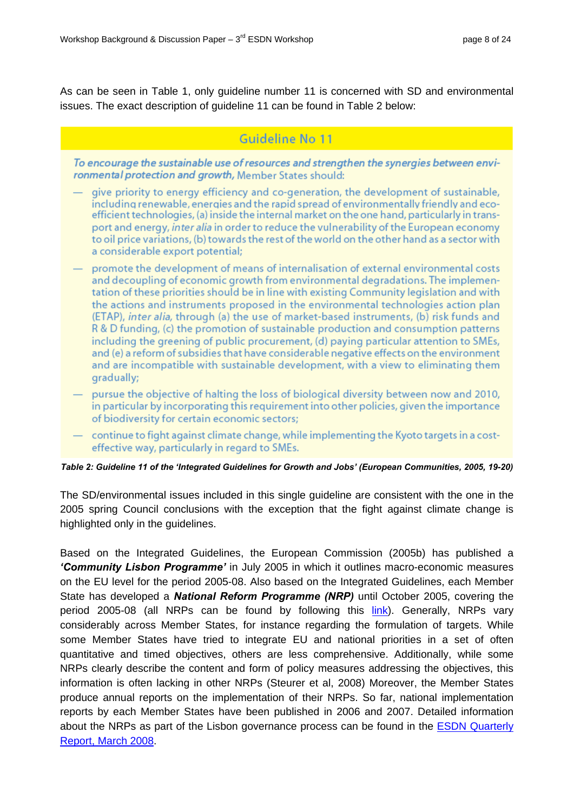As can be seen in Table 1, only guideline number 11 is concerned with SD and environmental issues. The exact description of guideline 11 can be found in Table 2 below:

# Guideline No 11

To encourage the sustainable use of resources and strengthen the synergies between environmental protection and growth, Member States should:

- give priority to energy efficiency and co-generation, the development of sustainable, including renewable, energies and the rapid spread of environmentally friendly and ecoefficient technologies, (a) inside the internal market on the one hand, particularly in transport and energy, *inter alia* in order to reduce the vulnerability of the European economy to oil price variations, (b) towards the rest of the world on the other hand as a sector with a considerable export potential:
- promote the development of means of internalisation of external environmental costs and decoupling of economic growth from environmental degradations. The implementation of these priorities should be in line with existing Community legislation and with the actions and instruments proposed in the environmental technologies action plan (ETAP), inter alia, through (a) the use of market-based instruments, (b) risk funds and R & D funding, (c) the promotion of sustainable production and consumption patterns including the greening of public procurement, (d) paying particular attention to SMEs, and (e) a reform of subsidies that have considerable negative effects on the environment and are incompatible with sustainable development, with a view to eliminating them gradually;
- pursue the objective of halting the loss of biological diversity between now and 2010, in particular by incorporating this requirement into other policies, given the importance of biodiversity for certain economic sectors;
- continue to fight against climate change, while implementing the Kyoto targets in a costeffective way, particularly in regard to SMEs.

#### *Table 2: Guideline 11 of the 'Integrated Guidelines for Growth and Jobs' (European Communities, 2005, 19-20)*

The SD/environmental issues included in this single guideline are consistent with the one in the 2005 spring Council conclusions with the exception that the fight against climate change is highlighted only in the guidelines.

Based on the Integrated Guidelines, the European Commission (2005b) has published a *'Community Lisbon Programme'* in July 2005 in which it outlines macro-economic measures on the EU level for the period 2005-08. Also based on the Integrated Guidelines, each Member State has developed a *National Reform Programme (NRP)* until October 2005, covering the period 2005-08 (all NRPs can be found by following this *link*). Generally, NRPs vary considerably across Member States, for instance regarding the formulation of targets. While some Member States have tried to integrate EU and national priorities in a set of often quantitative and timed objectives, others are less comprehensive. Additionally, while some NRPs clearly describe the content and form of policy measures addressing the objectives, this information is often lacking in other NRPs (Steurer et al, 2008) Moreover, the Member States produce annual reports on the implementation of their NRPs. So far, national implementation reports by each Member States have been published in 2006 and 2007. Detailed information about the NRPs as part of the Lisbon governance process can be found in the **ESDN** Quarterly Report, March 2008.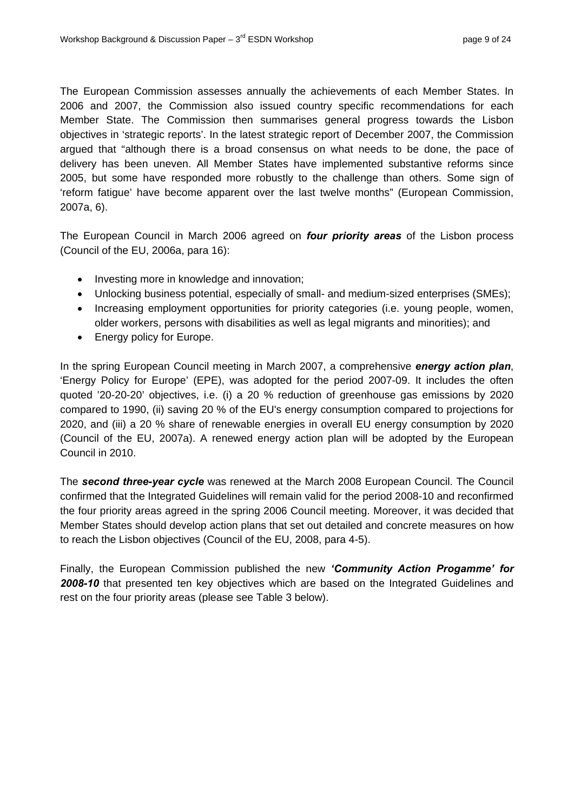The European Commission assesses annually the achievements of each Member States. In 2006 and 2007, the Commission also issued country specific recommendations for each Member State. The Commission then summarises general progress towards the Lisbon objectives in 'strategic reports'. In the latest strategic report of December 2007, the Commission argued that "although there is a broad consensus on what needs to be done, the pace of delivery has been uneven. All Member States have implemented substantive reforms since 2005, but some have responded more robustly to the challenge than others. Some sign of 'reform fatigue' have become apparent over the last twelve months" (European Commission, 2007a, 6).

The European Council in March 2006 agreed on *four priority areas* of the Lisbon process (Council of the EU, 2006a, para 16):

- Investing more in knowledge and innovation;
- Unlocking business potential, especially of small- and medium-sized enterprises (SMEs);
- Increasing employment opportunities for priority categories (i.e. young people, women, older workers, persons with disabilities as well as legal migrants and minorities); and
- Energy policy for Europe.

In the spring European Council meeting in March 2007, a comprehensive *energy action plan*, 'Energy Policy for Europe' (EPE), was adopted for the period 2007-09. It includes the often quoted '20-20-20' objectives, i.e. (i) a 20 % reduction of greenhouse gas emissions by 2020 compared to 1990, (ii) saving 20 % of the EU's energy consumption compared to projections for 2020, and (iii) a 20 % share of renewable energies in overall EU energy consumption by 2020 (Council of the EU, 2007a). A renewed energy action plan will be adopted by the European Council in 2010.

The **second three-year cycle** was renewed at the March 2008 European Council. The Council Member States should develop action plans that set out detailed and concrete measures on how to reach the Lisbon objectives (Council of the EU, 2008, para 4-5). confirmed that the Integrated Guidelines will remain valid for the period 2008-10 and reconfirmed the four priority areas agreed in the spring 2006 Council meeting. Moreover, it was decided that

Finally, the European Commission published the new *'Community Action Progamme' for 2008-10* that presented ten key objectives which are based on the Integrated Guidelines and rest on the four priority areas (please see Table 3 below).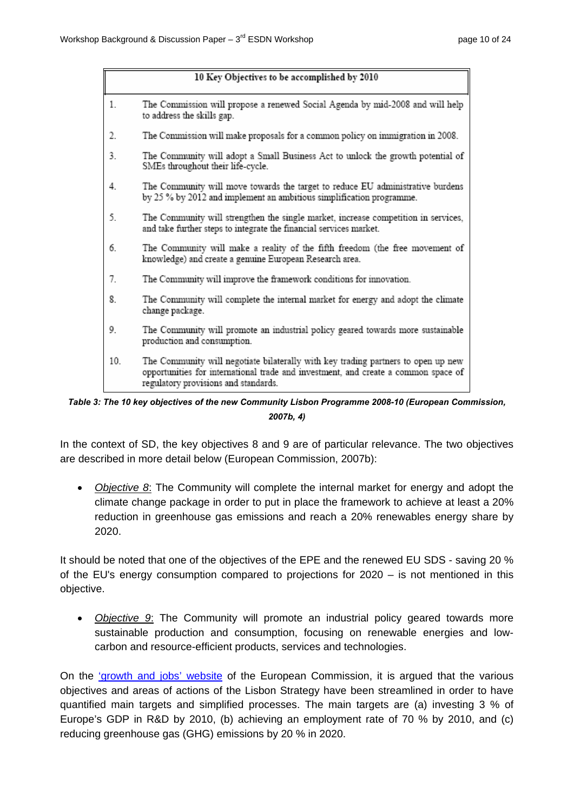|     | 10 Key Objectives to be accomplished by 2010                                                                                                                                                                    |
|-----|-----------------------------------------------------------------------------------------------------------------------------------------------------------------------------------------------------------------|
| 1.  | The Commission will propose a renewed Social Agenda by mid-2008 and will help<br>to address the skills gap.                                                                                                     |
| 2.  | The Commission will make proposals for a common policy on immigration in 2008.                                                                                                                                  |
| 3.  | The Community will adopt a Small Business Act to unlock the growth potential of<br>SMEs throughout their life-cycle.                                                                                            |
| 4.  | The Community will move towards the target to reduce EU administrative burdens<br>by 25 % by 2012 and implement an ambitious simplification programme.                                                          |
| 5.  | The Community will strengthen the single market, increase competition in services,<br>and take further steps to integrate the financial services market.                                                        |
| 6.  | The Community will make a reality of the fifth freedom (the free movement of<br>knowledge) and create a genuine European Research area.                                                                         |
| 7.  | The Community will improve the framework conditions for innovation.                                                                                                                                             |
| 8.  | The Community will complete the internal market for energy and adopt the climate<br>change package.                                                                                                             |
| 9.  | The Community will promote an industrial policy geared towards more sustainable<br>production and consumption.                                                                                                  |
| 10. | The Community will negotiate bilaterally with key trading partners to open up new<br>opportunities for international trade and investment, and create a common space of<br>regulatory provisions and standards. |

*Table 3: The 10 key objectives of the new Community Lisbon Programme 2008-10 (European Commission, 2007b, 4)* 

In the context of SD, the key objectives 8 and 9 are of particular relevance. The two objectives are described in more detail below (European Commission, 2007b):

• *Objective 8*: The Community will complete the internal market for energy and adopt the climate change package in order to put in place the framework to achieve at least a 20% reduction in greenhouse gas emissions and reach a 20% renewables energy share by 2020.

It should be noted that one of the objectives of the EPE and the renewed EU SDS - saving 20 % of the EU's energy consumption compared to projections for 2020 – is not mentioned in this objective.

• *Objective 9*: The Community will promote an industrial policy geared towards more sustainable production and consumption, focusing on renewable energies and lowcarbon and resource-efficient products, services and technologies.

On the 'growth and jobs' website of the European Commission, it is argued that the various objectives and areas of actions of the Lisbon Strategy have been streamlined in order to have quantified main targets and simplified processes. The main targets are (a) investing 3 % of Europe's GDP in R&D by 2010, (b) achieving an employment rate of 70 % by 2010, and (c) reducing greenhouse gas (GHG) emissions by 20 % in 2020.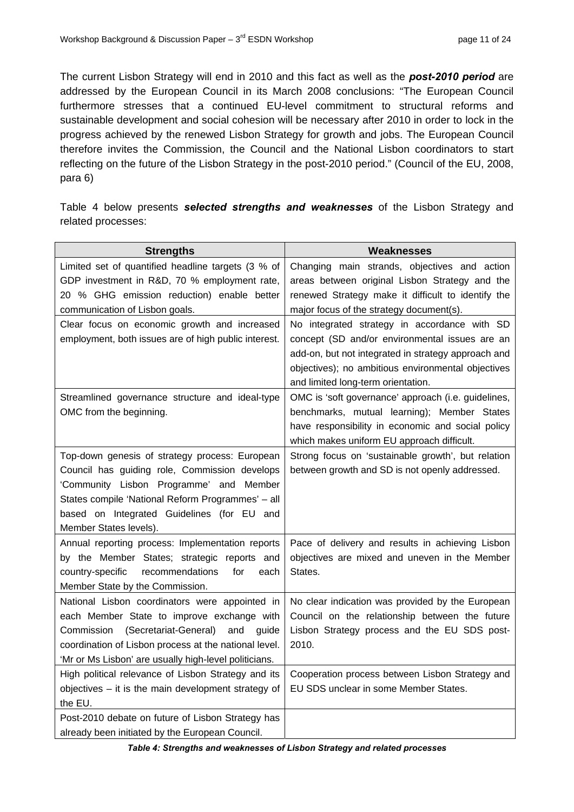The current Lisbon Strategy will end in 2010 and this fact as well as the *post-2010 period* are addressed by the European Council in its March 2008 conclusions: "The European Council furthermore stresses that a continued EU-level commitment to structural reforms and sustainable development and social cohesion will be necessary after 2010 in order to lock in the progress achieved by the renewed Lisbon Strategy for growth and jobs. The European Council therefore invites the Commission, the Council and the National Lisbon coordinators to start reflecting on the future of the Lisbon Strategy in the post-2010 period." (Council of the EU, 2008, para 6)

Table 4 below presents *selected strengths and weaknesses* of the Lisbon Strategy and related processes:

| <b>Strengths</b>                                                                   | Weaknesses                                               |
|------------------------------------------------------------------------------------|----------------------------------------------------------|
| Limited set of quantified headline targets (3 % of                                 | Changing main strands, objectives and action             |
| GDP investment in R&D, 70 % employment rate,                                       | areas between original Lisbon Strategy and the           |
| 20 % GHG emission reduction) enable better                                         | renewed Strategy make it difficult to identify the       |
| communication of Lisbon goals.                                                     | major focus of the strategy document(s).                 |
| Clear focus on economic growth and increased                                       | No integrated strategy in accordance with SD             |
| employment, both issues are of high public interest.                               | concept (SD and/or environmental issues are an           |
|                                                                                    | add-on, but not integrated in strategy approach and      |
|                                                                                    | objectives); no ambitious environmental objectives       |
|                                                                                    | and limited long-term orientation.                       |
| Streamlined governance structure and ideal-type                                    | OMC is 'soft governance' approach (i.e. guidelines,      |
| OMC from the beginning.                                                            | benchmarks, mutual learning); Member States              |
|                                                                                    | have responsibility in economic and social policy        |
|                                                                                    | which makes uniform EU approach difficult.               |
| Top-down genesis of strategy process: European                                     | Strong focus on 'sustainable growth', but relation       |
| Council has guiding role, Commission develops                                      | between growth and SD is not openly addressed.           |
| 'Community Lisbon Programme' and Member                                            |                                                          |
| States compile 'National Reform Programmes' - all                                  |                                                          |
| based on Integrated Guidelines (for EU and                                         |                                                          |
| Member States levels).                                                             |                                                          |
| Annual reporting process: Implementation reports                                   | Pace of delivery and results in achieving Lisbon         |
| by the Member States; strategic reports and<br>country-specific<br>recommendations | objectives are mixed and uneven in the Member<br>States. |
| for<br>each                                                                        |                                                          |
| Member State by the Commission.<br>National Lisbon coordinators were appointed in  | No clear indication was provided by the European         |
| each Member State to improve exchange with                                         | Council on the relationship between the future           |
| Commission<br>(Secretariat-General)<br>and<br>quide                                | Lisbon Strategy process and the EU SDS post-             |
| coordination of Lisbon process at the national level.                              | 2010.                                                    |
| 'Mr or Ms Lisbon' are usually high-level politicians.                              |                                                          |
| High political relevance of Lisbon Strategy and its                                | Cooperation process between Lisbon Strategy and          |
| objectives $-$ it is the main development strategy of                              | EU SDS unclear in some Member States.                    |
| the EU.                                                                            |                                                          |
| Post-2010 debate on future of Lisbon Strategy has                                  |                                                          |
| already been initiated by the European Council.                                    |                                                          |

*Table 4: Strengths and weaknesses of Lisbon Strategy and related processes*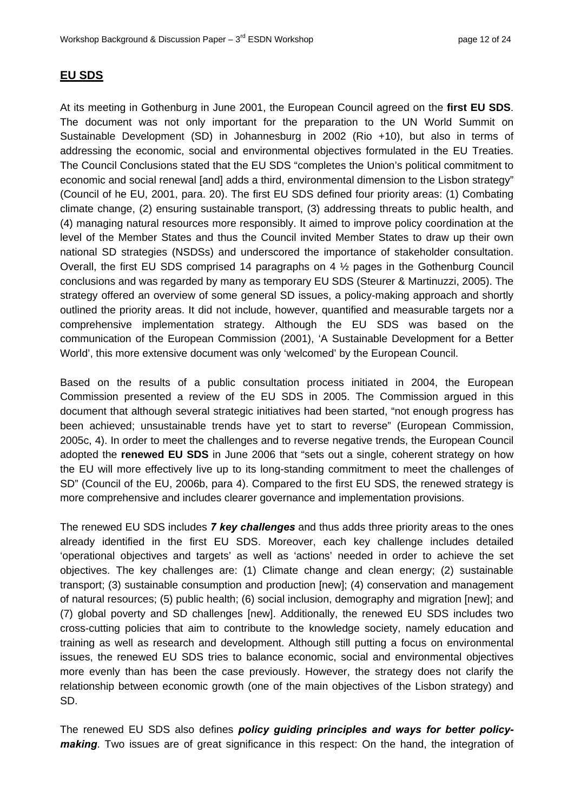## <span id="page-11-0"></span>**EU SDS**

At its meeting in Gothenburg in June 2001, the European Council agreed on the **first EU SDS**. The document was not only important for the preparation to the UN World Summit on Sustainable Development (SD) in Johannesburg in 2002 (Rio +10), but also in terms of addressing the economic, social and environmental objectives formulated in the EU Treaties. The Council Conclusions stated that the EU SDS "completes the Union's political commitment to economic and social renewal [and] adds a third, environmental dimension to the Lisbon strategy" (Council of he EU, 2001, para. 20). The first EU SDS defined four priority areas: (1) Combating (4) managing natural resources more responsibly. It aimed to improve policy coordination at the level of the Member States and thus the Council invited Member States to draw up their own national SD strategies (NSDSs) and underscored the importance of stakeholder consultation. Overall, the first EU SDS comprised 14 paragraphs on 4  $\frac{1}{2}$  pages in the Gothenburg Council conclusions and was regarded by many as temporary EU SDS (Steurer & Martinuzzi, 2005). The outlined the priority areas. It did not include, however, quantified and measurable targets nor a communication of the European Commission (2001), 'A Sustainable Development for a Better World', this more extensive document was only 'w elcomed' by the European Council. climate change, (2) ensuring sustainable transport, (3) addressing threats to public health, and strategy offered an overview of some general SD issues, a policy-making approach and shortly comprehensive implementation strategy. Alt hough the EU SDS was based on the

Based on the results of a public consultation process initiated in 2004, the European document that although several strategic initiatives had been started, "not enough progress has been achieved; unsustainable trends have ye t to start to reverse" (European Commission, 2005c, 4). In order to meet the challenges and to reverse negative trends, the European Council the EU will more effectively live up to its long-standing commitment to meet the challenges of SD" (Council of the EU, 2006b, para 4). Compared to the first EU SDS, the renewed strategy is more comprehensive and includes clearer governance and implementation provisions. Commission presented a review of the EU S DS in 2005. The Commission argued in this adopted the **renewed EU SDS** in June 2006 th at "sets out a single, coherent strategy on how

The renewed EU SDS includes 7 key challenges and thus adds three priority areas to the ones already identified in the first EU SDS. Moreover, each key challenge includes detailed objectives. The key challenges are: (1) Climate change and clean energy; (2) sustainable transport; (3) sustainable consumption and production [new]; (4) conservation and management training as well as research and development. Although still putting a focus on environmental issues, the renewed EU SDS tries to balance economic, social and environmental objectives relationship between economic growth (one of the main objectives of the Lisbon strategy) and 'operational objectives and targets' as well as 'actions' needed in order to achieve the set of natural resources; (5) public health; (6) social i nclusion, demography and migration [new]; and (7) global poverty and SD challenges [new]. Ad ditionally, the renewed EU SDS includes two cross-cutting policies that aim to contribute to the knowledge society, namely education and more evenly than has been the case previously. However, the strategy does not clarify the SD.

The renewed EU SDS also defines *policy guiding principles and ways for better policymaking*. Two issues are of great significance in this respect: On the hand, the integration of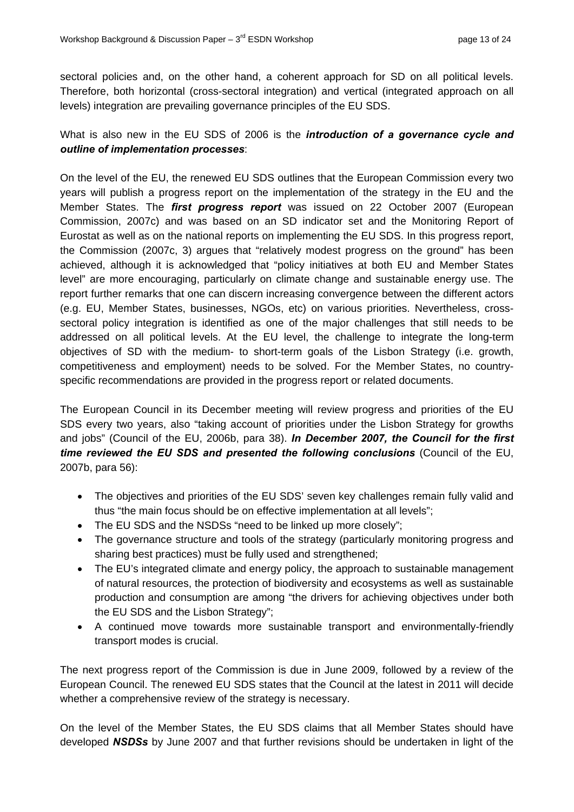sectoral policies and, on the other hand, a coherent approach for SD on all political levels. herefore, both horizontal (cross-sectoral integration) and vertical (integrated approach on all T levels) integration are prevailing governance principles of the EU SDS.

## What is also new in the EU SDS of 2006 is the *introduction of a governance cycle and outline of implementation processes*:

objectives of SD with the medium- to short-term goals of the Lisbon Strategy (i.e. growth, ompetitiveness and employment) needs to be solved. For the Member States, no country-c On the level of the EU, the renewed EU SDS outlines that the European Commission every two years will publish a progress report on the implementation of the strategy in the EU and the Member States. The *first progress report* was issued on 22 October 2007 (European Commission, 2007c) and was based on an SD indicator set and the Monitoring Report of Eurostat as well as on the national reports on implementing the EU SDS. In this progress report, the Commission (2007c, 3) argues that "relatively modest progress on the ground" has been achieved, although it is acknowledged that "policy initiatives at both EU and Member States level" are more encouraging, particularly on climate change and sustainable energy use. The report further remarks that one can discern increasing convergence between the different actors (e.g. EU, Member States, businesses, NGOs, etc) on various priorities. Nevertheless, crosssectoral policy integration is identified as one of the major challenges that still needs to be addressed on all political levels. At the EU level, the challenge to integrate the long-term specific recommendations are provided in the progress report or related documents.

The European Council in its December meeting will review progress and priorities of the EU SDS every two years, also "taking account of priorities under the Lisbon Strategy for growths and jobs" (Council of the EU, 2006b, para 38). *In December 2007, the Council for the first time reviewed the EU SDS and presented the following conclusions* (Council of the EU, 2007b, para 56):

- The objectives and priorities of the EU SDS' seven key challenges remain fully valid and thus "the main focus should be on effective implementation at all levels";
- The EU SDS and the NSDSs "need to be linked up more closely";
- The governance structure and tools of the strategy (particularly monitoring progress and sharing best practices) must be fully used and strengthened;
- The EU's integrated climate and energy policy, the approach to sustainable management of natural resources, the protection of biodiversity and ecosystems as well as sustainable production and consumption are among "the drivers for achieving objectives under both the EU SDS and the Lisbon Strategy";
- A continued move towards more sustainable transport and environmentally-friendly transport modes is crucial.

whether a comprehensive review of the strategy is necessary. The next progress report of the Commission is due in June 2009, followed by a review of the European Council. The renewed EU SDS states that the Council at the latest in 2011 will decide

On the level of the Member States, the EU SDS claims that all Member States should have developed *NSDSs* by June 2007 and that further revisions should be undertaken in light of the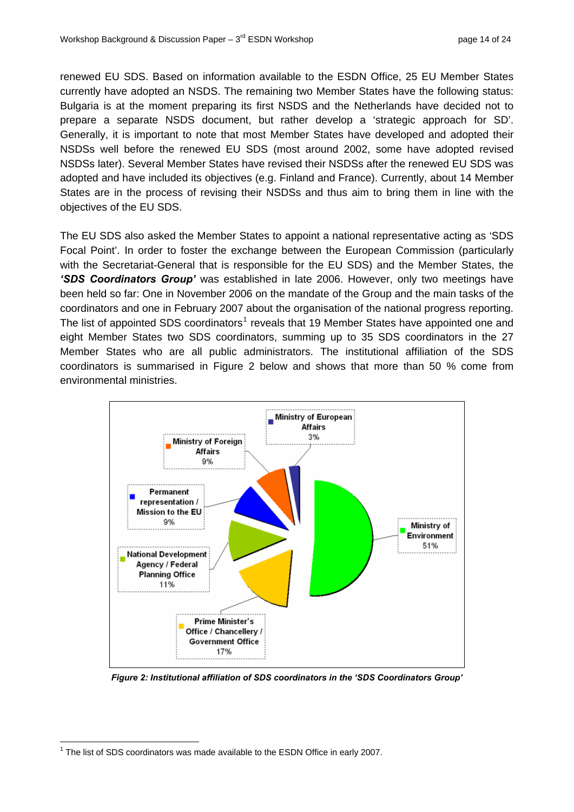renewed EU SDS. Based on information available to the ESDN Office, 25 EU Member States currently have adopted an NSDS. The remaining two Member States have the following status: Bulgaria is at the moment preparing its first NSDS and the Netherlands have decided not to prepare a separate NSDS document, but rather develop a 'strategic approach for SD'. NSDSs well before the renewed EU SDS (most around 2002, some have adopted revised NSDSs later). Several Member States have revised their NSDSs after the renewed EU SDS was Generally, it is important to note that most Member States have developed and adopted their adopted and have included its objectives (e.g. Finland and France). Currently, about 14 Member States are in the process of revising their NSDSs and thus aim to bring them in line with the objectives of the EU SDS.

The EU SDS also asked the Member States to appoint a national representative acting as 'SDS Focal Point'. In order to foster the exchange between the European Commission (particularly with the Secretariat-General that is responsible for the EU SDS) and the Member States, the *'SDS Coordinators Group'* was established in late 2006. However, only two meetings have been held so far: One in November 2006 on the mandate of the Group and the main tasks of the coordinators and one in February 2007 about the organisation of the national progress reporting. The list of appointed SDS coordinators<sup>1</sup> reveals that 19 Member States have appointed one and eight Member States two SDS coordinators, summing up to 35 SDS coordinators in the 27 Member States who are all public administrators. The institutional affiliation of the SDS coordinators is summarised in Figure 2 below and shows that more than 50 % come from environmental ministries.



*Figure 2: Institutional affiliation of SDS coordinators in the 'SDS Coordinators Group'* 

 $\overline{a}$ 

 $1$  The list of SDS coordinators was made available to the ESDN Office in early 2007.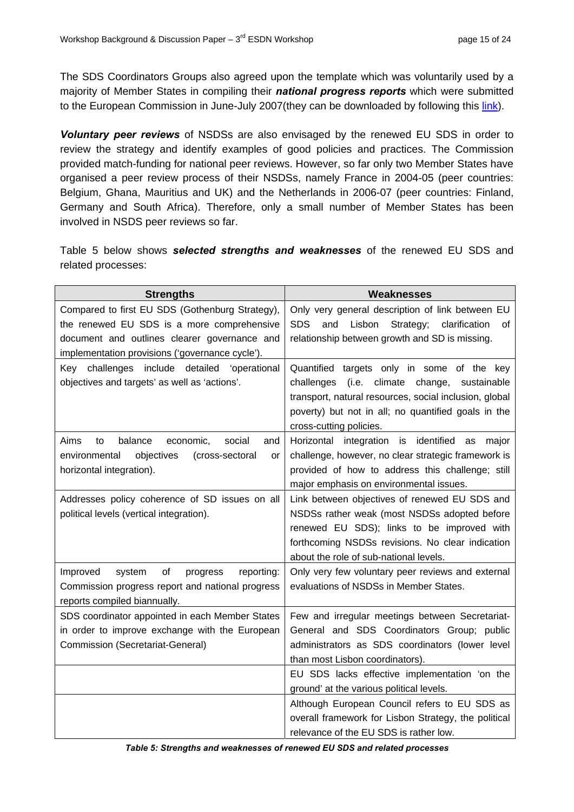The SDS Coordinators Groups also agreed upon the template which was voluntarily used by a majority of Member States in compiling their *national progress reports* which were submitted to the European Commission in June-July 2007(they can be downloaded by following this link).

*Voluntary peer reviews* of NSDSs are also envisaged by the renewed EU SDS in order to review the strategy and identify examples of good policies and practices. The Commission provided match-funding for national peer reviews. However, so far only two Member States have organised a peer review process of their NSDSs, namely France in 2004-05 (peer countries: Belgium, Ghana, Mauritius and UK) and the Netherlands in 2006-07 (peer countries: Finland, Germany and South Africa). Therefore, only a small number of Member States has been involved in NSDS peer reviews so far.

Table 5 below shows *selected strengths and weaknesses* of the renewed EU SDS and related processes:

| <b>Strengths</b>                                                                                       | <b>Weaknesses</b>                                                                           |
|--------------------------------------------------------------------------------------------------------|---------------------------------------------------------------------------------------------|
| Compared to first EU SDS (Gothenburg Strategy),                                                        | Only very general description of link between EU                                            |
| the renewed EU SDS is a more comprehensive                                                             | <b>SDS</b><br>Strategy;<br>Lisbon<br>clarification<br>and<br>οf                             |
| document and outlines clearer governance and                                                           | relationship between growth and SD is missing.                                              |
| implementation provisions ('governance cycle').                                                        |                                                                                             |
| Key challenges include detailed<br>'operational                                                        | Quantified targets only in some of the key                                                  |
| objectives and targets' as well as 'actions'.                                                          | (i.e.<br>climate<br>change,<br>challenges<br>sustainable                                    |
|                                                                                                        | transport, natural resources, social inclusion, global                                      |
|                                                                                                        | poverty) but not in all; no quantified goals in the                                         |
|                                                                                                        | cross-cutting policies.                                                                     |
| Aims<br>balance<br>economic,<br>social<br>to<br>and                                                    | Horizontal integration is identified<br>as<br>major                                         |
| objectives<br>environmental<br>(cross-sectoral<br>or                                                   | challenge, however, no clear strategic framework is                                         |
| horizontal integration).                                                                               | provided of how to address this challenge; still                                            |
|                                                                                                        | major emphasis on environmental issues.                                                     |
| Addresses policy coherence of SD issues on all                                                         | Link between objectives of renewed EU SDS and                                               |
| political levels (vertical integration).                                                               | NSDSs rather weak (most NSDSs adopted before                                                |
|                                                                                                        | renewed EU SDS); links to be improved with                                                  |
|                                                                                                        | forthcoming NSDSs revisions. No clear indication<br>about the role of sub-national levels.  |
|                                                                                                        |                                                                                             |
| Improved<br>of<br>system<br>reporting:<br>progress<br>Commission progress report and national progress | Only very few voluntary peer reviews and external<br>evaluations of NSDSs in Member States. |
| reports compiled biannually.                                                                           |                                                                                             |
| SDS coordinator appointed in each Member States                                                        | Few and irregular meetings between Secretariat-                                             |
| in order to improve exchange with the European                                                         | General and SDS Coordinators Group; public                                                  |
| Commission (Secretariat-General)                                                                       | administrators as SDS coordinators (lower level                                             |
|                                                                                                        | than most Lisbon coordinators).                                                             |
|                                                                                                        | EU SDS lacks effective implementation 'on the                                               |
|                                                                                                        | ground' at the various political levels.                                                    |
|                                                                                                        | Although European Council refers to EU SDS as                                               |
|                                                                                                        | overall framework for Lisbon Strategy, the political                                        |
|                                                                                                        | relevance of the EU SDS is rather low.                                                      |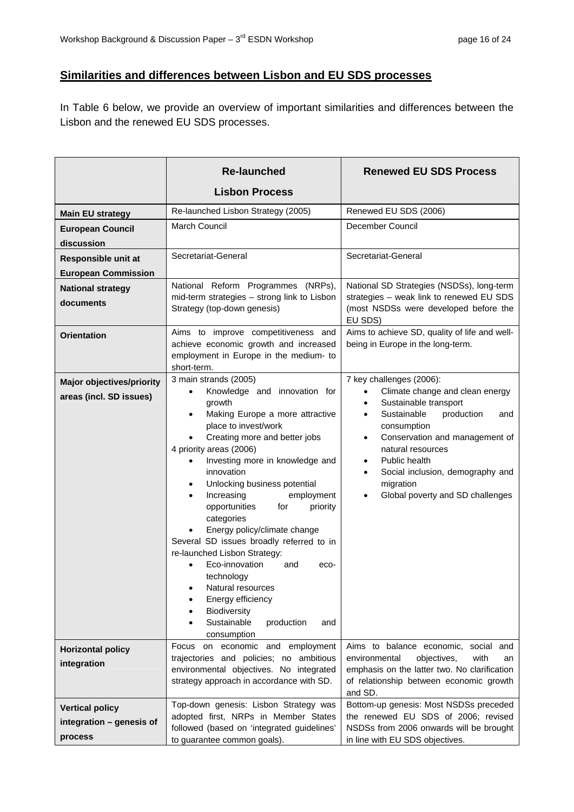# <span id="page-15-0"></span>**Similarities and differences between Lisbon and EU SDS processes**

In Table 6 below, we provide an overview of important similarities and differences between the Lisbon and the renewed EU SDS processes.

|                                  | <b>Re-launched</b>                                                                  | <b>Renewed EU SDS Process</b>                                                           |
|----------------------------------|-------------------------------------------------------------------------------------|-----------------------------------------------------------------------------------------|
|                                  | <b>Lisbon Process</b>                                                               |                                                                                         |
| <b>Main EU strategy</b>          | Re-launched Lisbon Strategy (2005)                                                  | Renewed EU SDS (2006)                                                                   |
| <b>European Council</b>          | March Council                                                                       | December Council                                                                        |
| discussion                       |                                                                                     |                                                                                         |
| Responsible unit at              | Secretariat-General                                                                 | Secretariat-General                                                                     |
| <b>European Commission</b>       |                                                                                     |                                                                                         |
| <b>National strategy</b>         | National Reform Programmes (NRPs),                                                  | National SD Strategies (NSDSs), long-term                                               |
| documents                        | mid-term strategies - strong link to Lisbon                                         | strategies - weak link to renewed EU SDS                                                |
|                                  | Strategy (top-down genesis)                                                         | (most NSDSs were developed before the                                                   |
|                                  | Aims to improve competitiveness and                                                 | EU SDS)<br>Aims to achieve SD, quality of life and well-                                |
| <b>Orientation</b>               | achieve economic growth and increased                                               | being in Europe in the long-term.                                                       |
|                                  | employment in Europe in the medium- to                                              |                                                                                         |
|                                  | short-term.                                                                         |                                                                                         |
| <b>Major objectives/priority</b> | 3 main strands (2005)                                                               | 7 key challenges (2006):                                                                |
| areas (incl. SD issues)          | Knowledge and innovation for<br>growth                                              | Climate change and clean energy<br>$\bullet$<br>Sustainable transport<br>$\bullet$      |
|                                  | Making Europe a more attractive<br>$\bullet$                                        | Sustainable<br>production<br>and<br>$\bullet$                                           |
|                                  | place to invest/work                                                                | consumption                                                                             |
|                                  | Creating more and better jobs                                                       | Conservation and management of<br>$\bullet$                                             |
|                                  | 4 priority areas (2006)                                                             | natural resources<br>Public health                                                      |
|                                  | Investing more in knowledge and<br>innovation                                       | $\bullet$<br>Social inclusion, demography and<br>$\bullet$                              |
|                                  | Unlocking business potential<br>$\bullet$                                           | migration                                                                               |
|                                  | employment<br>Increasing                                                            | Global poverty and SD challenges<br>$\bullet$                                           |
|                                  | opportunities<br>priority<br>for                                                    |                                                                                         |
|                                  | categories                                                                          |                                                                                         |
|                                  | Energy policy/climate change<br>Several SD issues broadly referred to in            |                                                                                         |
|                                  | re-launched Lisbon Strategy:                                                        |                                                                                         |
|                                  | Eco-innovation<br>and<br>eco-                                                       |                                                                                         |
|                                  | technology                                                                          |                                                                                         |
|                                  | Natural resources                                                                   |                                                                                         |
|                                  | Energy efficiency<br>Biodiversity                                                   |                                                                                         |
|                                  | Sustainable<br>production<br>and                                                    |                                                                                         |
|                                  | consumption                                                                         |                                                                                         |
| <b>Horizontal policy</b>         | Focus on economic and employment                                                    | Aims to balance economic, social and                                                    |
| integration                      | trajectories and policies; no ambitious                                             | environmental<br>objectives,<br>with<br>an                                              |
|                                  | environmental objectives. No integrated<br>strategy approach in accordance with SD. | emphasis on the latter two. No clarification<br>of relationship between economic growth |
|                                  |                                                                                     | and SD.                                                                                 |
| <b>Vertical policy</b>           | Top-down genesis: Lisbon Strategy was                                               | Bottom-up genesis: Most NSDSs preceded                                                  |
| integration - genesis of         | adopted first, NRPs in Member States                                                | the renewed EU SDS of 2006; revised                                                     |
| process                          | followed (based on 'integrated guidelines'                                          | NSDSs from 2006 onwards will be brought                                                 |
|                                  | to guarantee common goals).                                                         | in line with EU SDS objectives.                                                         |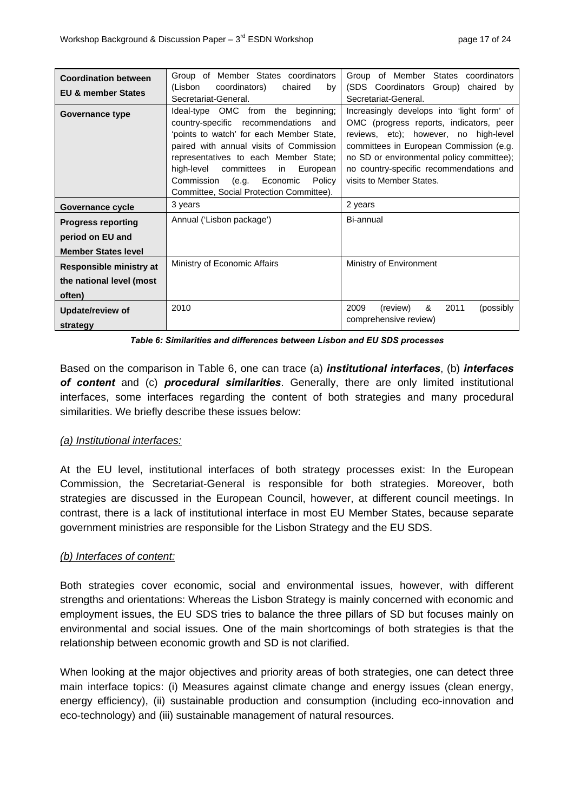| <b>Coordination between</b><br><b>EU &amp; member States</b> | Group of Member States coordinators<br>(Lisbon<br>coordinators)<br>chaired<br>by<br>Secretariat-General.                                                                                                                                                                                                                                          | Group of Member States coordinators<br>(SDS Coordinators Group) chaired by<br>Secretariat-General.                                                                                                                                                                                            |
|--------------------------------------------------------------|---------------------------------------------------------------------------------------------------------------------------------------------------------------------------------------------------------------------------------------------------------------------------------------------------------------------------------------------------|-----------------------------------------------------------------------------------------------------------------------------------------------------------------------------------------------------------------------------------------------------------------------------------------------|
| Governance type                                              | Ideal-type OMC from the beginning:<br>country-specific recommendations<br>and<br>'points to watch' for each Member State,<br>paired with annual visits of Commission<br>representatives to each Member State;<br>high-level committees<br>European<br>in<br>Economic<br>Commission<br>(e.g.<br>Policy<br>Committee, Social Protection Committee). | Increasingly develops into 'light form' of<br>OMC (progress reports, indicators, peer<br>reviews, etc); however, no high-level<br>committees in European Commission (e.g.<br>no SD or environmental policy committee);<br>no country-specific recommendations and<br>visits to Member States. |
| Governance cycle                                             | 3 years                                                                                                                                                                                                                                                                                                                                           | 2 years                                                                                                                                                                                                                                                                                       |
| <b>Progress reporting</b>                                    | Annual ('Lisbon package')                                                                                                                                                                                                                                                                                                                         | Bi-annual                                                                                                                                                                                                                                                                                     |
| period on EU and                                             |                                                                                                                                                                                                                                                                                                                                                   |                                                                                                                                                                                                                                                                                               |
| <b>Member States level</b>                                   |                                                                                                                                                                                                                                                                                                                                                   |                                                                                                                                                                                                                                                                                               |
| Responsible ministry at                                      | Ministry of Economic Affairs                                                                                                                                                                                                                                                                                                                      | Ministry of Environment                                                                                                                                                                                                                                                                       |
| the national level (most                                     |                                                                                                                                                                                                                                                                                                                                                   |                                                                                                                                                                                                                                                                                               |
| often)                                                       |                                                                                                                                                                                                                                                                                                                                                   |                                                                                                                                                                                                                                                                                               |
| 2010<br>Update/review of<br>strategy                         |                                                                                                                                                                                                                                                                                                                                                   | 2011<br>2009<br>&<br>(possibly)<br>(review)<br>comprehensive review)                                                                                                                                                                                                                          |

*Table 6: S imilarities and differences between Lisbon and EU SDS processes* 

Based on the comparison in Table 6, one can trace (a) *institutional interfaces*, (b) *interfaces*  of content and (c) procedural similarities. Generally, there are only limited institutional interfaces, some interfaces regarding the content of both strategies and many procedural similarities. We briefly describe these issues below:

### *(a) Institutional interface s:*

At the EU level, institutional interfaces of both strategy processes exist: In the European Commission, the Secretariat-General is responsible for both strategies. Moreover, both strategies are discussed in the European Council, however, at different council meetings. In contrast, there is a lack of institutional interface in most EU Member States, because separate government ministries are responsible for the Lisbon Strategy and the EU SDS.

### *(b) Interfaces of conten t:*

Both strategies cover economic, social and environmental issues, however, with different strengths and orientations: Whereas the Lisbon Strategy is mainly concerned with economic and employment issues, the EU SDS tries to balance the three pillars of SD but focuses mainly on environmental and social issues. One of the main shortcomings of both strategies is that the relationship between economic growth and SD is not clarified.

When looking at the major objectives and priority areas of both strategies, one can detect three main interface topics: (i) Measures against climate change and energy issues (clean energy, energy efficiency), (ii) sustainable production and consumption (including eco-innovation and eco-technology) and (iii) sustainable management of natural resources.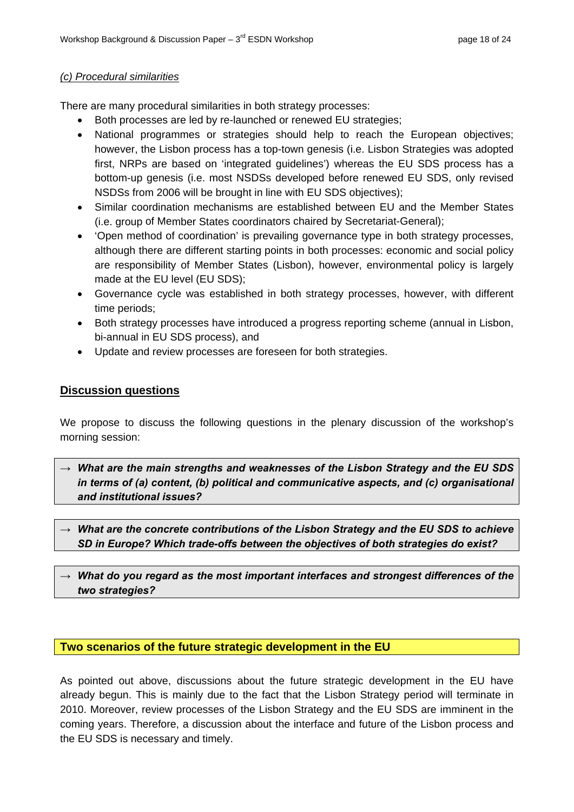#### <span id="page-17-0"></span>*(c) Procedural similarities*

There are many proced ural similarities in both strategy proce sses:

- Both processes are led by re-launched or renewed EU strategies;
- National progra mmes or strategies should help t o reach the European objectives; however, the Lis bon process has a top-town genesis (i.e. Lisbon Strategies was adopted first, NRPs are based on 'integrated guidelines') wh ereas the EU SDS process has a bottom-up genesis (i.e. most NSDSs developed before renewed EU SDS, only revised NSDSs from 2006 will be brought in line with EU SDS objectives);
- Similar coordination mechanisms are established between EU and the Member States (i.e. group of Member States coordinators chaired by Secretariat-General);
- 'Open method of coordination' is prevailing governance type in both strategy processes, although there are different starting points in both processes: economic and social policy are responsibility of Member States (Lisbon), however, environmental policy is largely made at the EU level (EU SDS);
- Governance cycle was established in both strategy processes, however, with different time periods;
- Both strategy processes have introduced a progress reporting scheme (annual in Lisbon, bi-annu al in EU SDS process), and
- Update and review processes are foreseen for both strategies.

### **Discussion questions**

We propose to discuss the following questions in the plenary discussion of the workshop's morning session:

- *→ What are the main strengths and weaknesses of the Lisbon Strategy and the EU SDS in terms of (a) content, (b) political and communicative aspects, and (c) organisational and institutional issues?*
- *→ What are the concrete contributions of the Lisbon Strategy and the EU SDS to achieve SD in Europe? Which trade-offs between the objectives of both strategies do exist?*
- *→ What do you regard as the most important interfaces and strongest differences of the two strategies?*

### **Two scenarios of the future strategic development in the EU**

As pointed out above, discussions about the future strategic development in the EU have already begun. This is mainly due to the fact that the Lisbon Strategy period will terminate in 2010. Moreover, review processes of the Lisbon Strategy and the EU SDS are imminent in the coming years. Therefore, a discussion about the interface and future of the Lisbon process and the EU SDS is necessary and timely.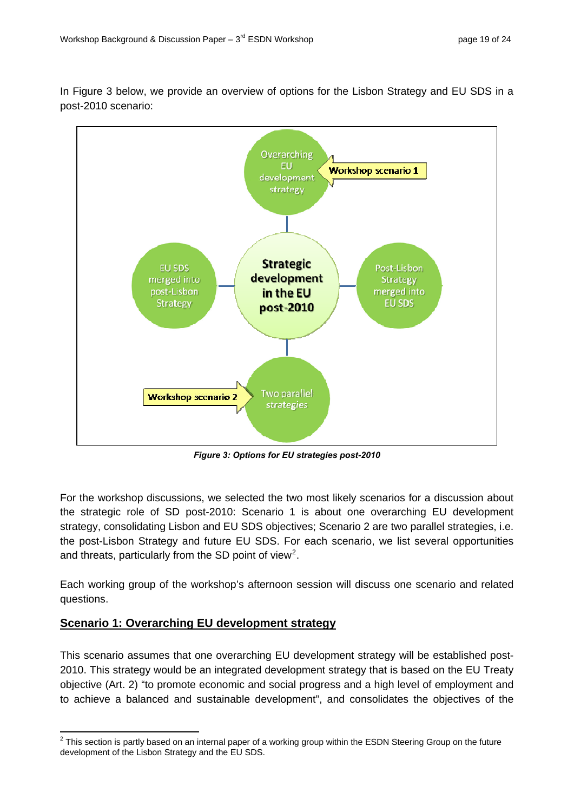<span id="page-18-0"></span>In Figure 3 below, we provide an overview of options for the Lisbon Strategy and EU SDS in a post-2010 scenario:



*Figure 3: Options for EU strategies post-2010* 

For the workshop discussions, we selected the two most likely scenarios for a discussion about the strategic role of SD post-2010: Scenario 1 is about one overarching EU development the post-Lisbon Strategy and future EU SDS. For each scenario, we list several opportunities and threats, particularly from the SD point of view<sup>2</sup>. strategy, consolidating Lisbon and EU SDS objectives; Scenario 2 are two parallel strategies, i.e.

questions. Each working group of the workshop's afternoon session will discuss one scenario and related

## **<u>Scenario 1: Overarching EU development strategy</u>**

This scenario assumes that one overarching EU development strategy will be established post-2010. This strategy would be an integrated development strategy that is based on the EU Treaty objective (Art. 2) "to promote economic and social progress and a high level of employment and to achieve a balanced and sustainable development", and consolidates the objectives of the

 2 This section is partly based on an internal paper of a working group within the ESDN Steering Group on the future development of the Lisbon Strategy and the EU SDS.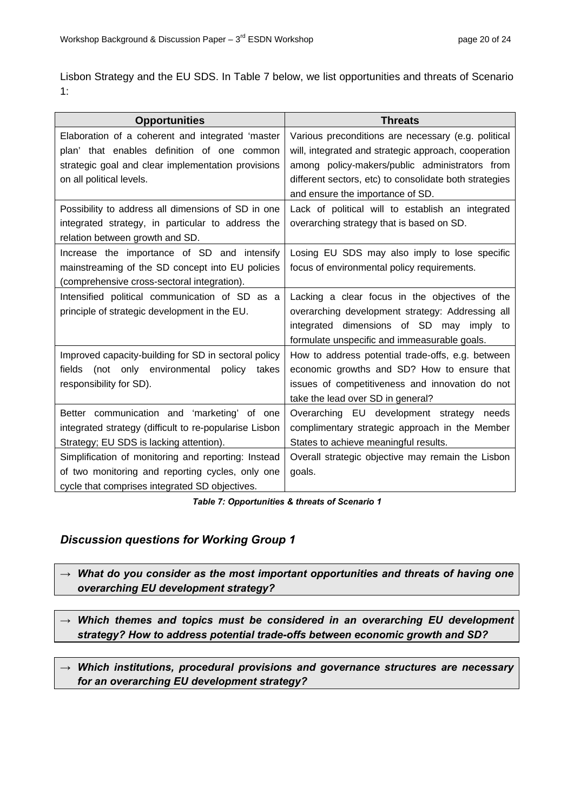Lisbon Strategy and the EU SDS. In Table 7 below, we list opportunities and threats of Scenario 1:

| <b>Opportunities</b>                                   | <b>Threats</b>                                         |
|--------------------------------------------------------|--------------------------------------------------------|
| Elaboration of a coherent and integrated 'master       | Various preconditions are necessary (e.g. political    |
| plan' that enables definition of one common            | will, integrated and strategic approach, cooperation   |
| strategic goal and clear implementation provisions     | among policy-makers/public administrators from         |
| on all political levels.                               | different sectors, etc) to consolidate both strategies |
|                                                        | and ensure the importance of SD.                       |
| Possibility to address all dimensions of SD in one     | Lack of political will to establish an integrated      |
| integrated strategy, in particular to address the      | overarching strategy that is based on SD.              |
| relation between growth and SD.                        |                                                        |
| Increase the importance of SD and intensify            | Losing EU SDS may also imply to lose specific          |
| mainstreaming of the SD concept into EU policies       | focus of environmental policy requirements.            |
| (comprehensive cross-sectoral integration).            |                                                        |
| Intensified political communication of SD as a         | Lacking a clear focus in the objectives of the         |
| principle of strategic development in the EU.          | overarching development strategy: Addressing all       |
|                                                        | integrated dimensions of SD may imply to               |
|                                                        | formulate unspecific and immeasurable goals.           |
| Improved capacity-building for SD in sectoral policy   | How to address potential trade-offs, e.g. between      |
| (not only environmental policy<br>fields<br>takes      | economic growths and SD? How to ensure that            |
| responsibility for SD).                                | issues of competitiveness and innovation do not        |
|                                                        | take the lead over SD in general?                      |
| Better communication and 'marketing' of one            | Overarching EU development strategy needs              |
| integrated strategy (difficult to re-popularise Lisbon | complimentary strategic approach in the Member         |
| Strategy; EU SDS is lacking attention).                | States to achieve meaningful results.                  |
| Simplification of monitoring and reporting: Instead    | Overall strategic objective may remain the Lisbon      |
| of two monitoring and reporting cycles, only one       | goals.                                                 |
| cycle that comprises integrated SD objectives.         |                                                        |

#### *Table 7: Opportunities & threats of Scenario 1*

## *Discussion questions for Working Group 1*

*→ What do you consider as the most important opportunities and threats of having one overarching EU development strategy?* 

*→ Which themes and topics must be considered in an overarching EU development strategy? How to address potential trade-offs between economic growth and SD?* 

*→ Which institutions, procedural provisions and governance structures are necessary for an overarching EU development strategy?*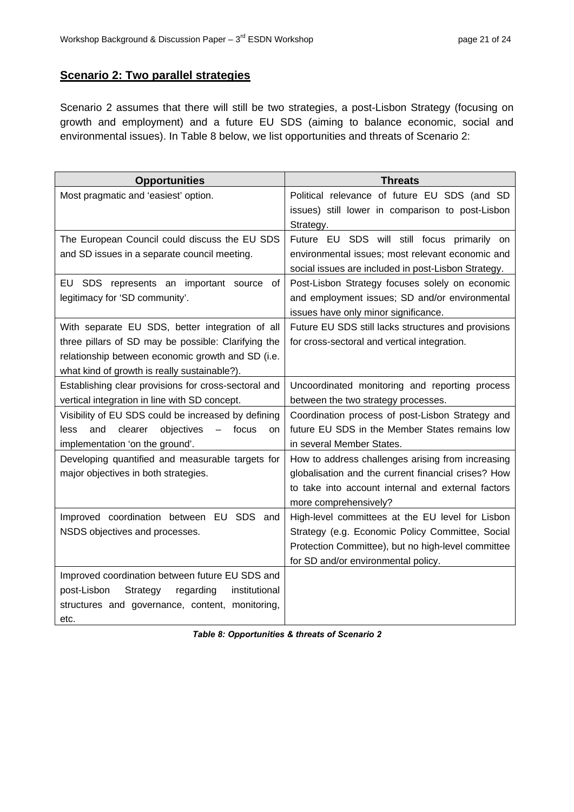# <span id="page-20-0"></span>**Scenario 2: Two parallel strategies**

Scenario 2 assumes that there will still be two strategies, a post-Lisbon Strategy (focusing on growth and employment) and a future EU SDS (aiming to balance economic, social and environmental issues). In Table 8 below, we list opportunities and threats of Scenario 2:

| <b>Opportunities</b>                                                                                                                                                                                        | <b>Threats</b>                                                                                                                                                                                    |
|-------------------------------------------------------------------------------------------------------------------------------------------------------------------------------------------------------------|---------------------------------------------------------------------------------------------------------------------------------------------------------------------------------------------------|
| Most pragmatic and 'easiest' option.                                                                                                                                                                        | Political relevance of future EU SDS (and SD<br>issues) still lower in comparison to post-Lisbon<br>Strategy.                                                                                     |
| The European Council could discuss the EU SDS<br>and SD issues in a separate council meeting.                                                                                                               | Future EU SDS will still focus primarily on<br>environmental issues; most relevant economic and<br>social issues are included in post-Lisbon Strategy.                                            |
| EU SDS represents an important source<br>οf<br>legitimacy for 'SD community'.                                                                                                                               | Post-Lisbon Strategy focuses solely on economic<br>and employment issues; SD and/or environmental<br>issues have only minor significance.                                                         |
| With separate EU SDS, better integration of all<br>three pillars of SD may be possible: Clarifying the<br>relationship between economic growth and SD (i.e.<br>what kind of growth is really sustainable?). | Future EU SDS still lacks structures and provisions<br>for cross-sectoral and vertical integration.                                                                                               |
| Establishing clear provisions for cross-sectoral and<br>vertical integration in line with SD concept.                                                                                                       | Uncoordinated monitoring and reporting process<br>between the two strategy processes.                                                                                                             |
| Visibility of EU SDS could be increased by defining<br>objectives<br>and<br>clearer<br>focus<br>less<br>on<br>implementation 'on the ground'.                                                               | Coordination process of post-Lisbon Strategy and<br>future EU SDS in the Member States remains low<br>in several Member States.                                                                   |
| Developing quantified and measurable targets for<br>major objectives in both strategies.                                                                                                                    | How to address challenges arising from increasing<br>globalisation and the current financial crises? How<br>to take into account internal and external factors<br>more comprehensively?           |
| Improved coordination between EU SDS and<br>NSDS objectives and processes.                                                                                                                                  | High-level committees at the EU level for Lisbon<br>Strategy (e.g. Economic Policy Committee, Social<br>Protection Committee), but no high-level committee<br>for SD and/or environmental policy. |
| Improved coordination between future EU SDS and<br>post-Lisbon<br>Strategy<br>regarding<br>institutional<br>structures and governance, content, monitoring,<br>etc.                                         |                                                                                                                                                                                                   |

*Table 8: Opportunities & threats of Scenario 2*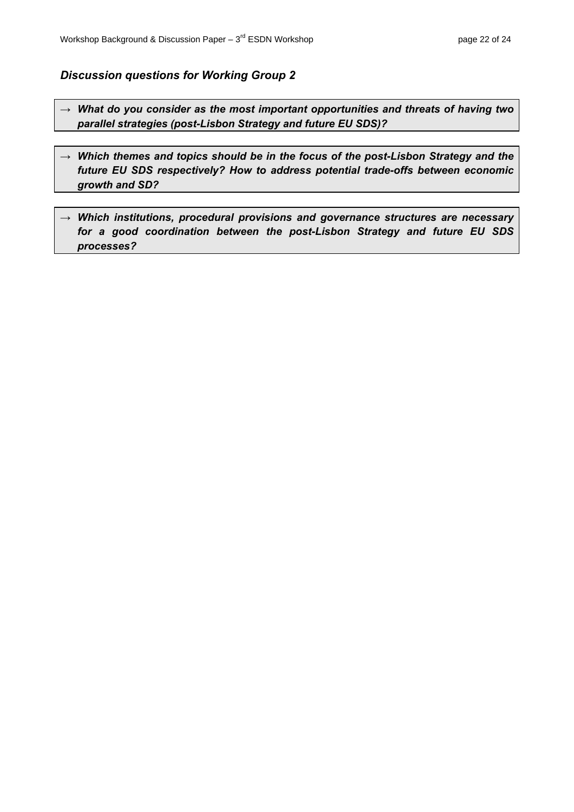### <span id="page-21-0"></span>*Discussion questions for Working Group 2*

- *→ What do you consider as the most important opportunities and threats of having two parallel strategies (post-Lisbon Strategy and future EU SDS)?*
- *→ Which themes and topics should be in the focus of the post-Lisbon Strategy and the future EU SDS respectively? How to address potential trade-offs between economic growth and SD?*
- *→ Which institutions, procedural provisions and governance structures are necessary for a good coordination between the post-Lisbon Strategy and future EU SDS processes?*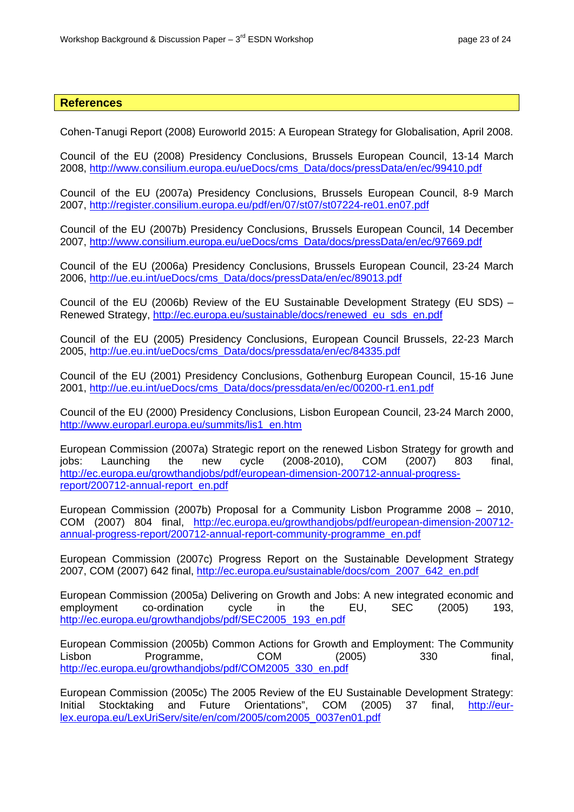#### <span id="page-22-0"></span>**References**

Cohen-Tanugi Report (2008) Euroworld 2015: A European Strategy for Globalisation, April 2008.

200 8, http://www.consilium.europa.eu/ueDocs/cms\_Data/docs/pressData/en/ec/99410.pdf Council of the EU (2008) Presidency Conclusions, Brussels European Council, 13-14 March

Council of the EU (2007a) Presidency Conclusions, Brussels European Council, 8-9 March 2007, http://register.consilium.europa.eu/pdf/en/07/st07/st07224-re01.en07.pdf

Cou ncil of the EU (2007b) Presidency Conclusions, Brussels European Council, 14 December 200 7, http://www.consilium.europa.eu/ueDocs/cms\_Data/docs/pressData/en/ec/97669.pdf

Council of the EU (2006a) Presidency Conclusions, Brussels European Council, 23-24 March 2006, http://ue.eu.int/ueDocs/cms\_Data/docs/pressData/en/ec/89013.pdf

Council of the EU (2006b) Review of the EU Sustainable Development Strategy (EU SDS) – Renewed Strategy, http://ec.europa.eu/sustainable/docs/renewed\_eu\_sds\_en.pdf

Council of the EU (2005) Presidency Conclusions, European Council Brussels, 22-23 March 2005, http://ue.eu.int/ueDocs/cms\_Data/docs/pressdata/en/ec/84335.pdf

Council of the EU (2001) Presidency Conclusions, Gothenburg European Council, 15-16 June 2001, http://ue.eu.int/ueDocs/cms\_Data/docs/pressdata/en/ec/00200-r1.en1.pdf

Council of the EU (2000) Presidency Conclusions, Lisbon European Council, 23-24 March 2000, http://www.europarl.europa.eu/summits/lis1\_en.htm

European Commission (2007a) Strategic report on the renewed Lisbon Strategy for growth and jobs: Launching the new cycle (2008-2010), COM (2007) 803 final, http://ec.europa.eu/growthandjobs/pdf/european-dimension-200712-annual-progressreport/200712-annual-report\_en.pdf

European Commission (2007b) Proposal for a Community Lisbon Programme 2008 – 2010, COM (2007) 804 final, http://ec.europa.eu/growthandjobs/pdf/european-dimension-200712 annual-progress-report/200712-annual-report-community-programme\_en.pdf

European Commission (2007c) Progress Report on the Sustainable Development Strategy 2007, COM (2007) 642 final, http://ec.europa.eu/sustainable/docs/com\_2007\_642\_en.pdf

European Commission (2005a) Delivering on Growth and Jobs: A new integrated economic and employment co-ordination cycle in the EU, SEC (2005) 193, http://ec.europa.eu/growthandjobs/pdf/SEC2005\_193\_en.pdf

European Commission (2005b) Common Actions for Growth and Employment: The Community Lisbon Programme, COM (2005) 330 final, http://ec.europa.eu/growthandjobs/pdf/COM2005\_330\_en.pdf

European Commission (2005c) The 2005 Review of the EU Sustainable Development Strategy: Initial Stocktaking and Future Orientations", COM (2005) 37 final, http://eurlex.europa.eu/LexUriServ/site/en/com/2005/com2005\_0037en01.pdf